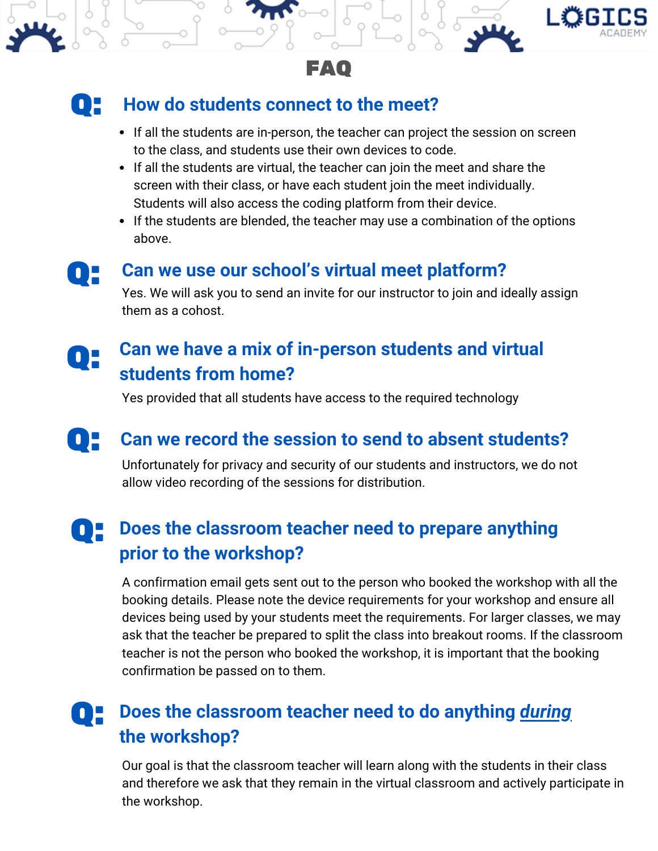





## Q: **How do students connect to the meet?**

- If all the students are in-person, the teacher can project the session on screen to the class, and students use their own devices to code.
- If all the students are virtual, the teacher can join the meet and share the screen with their class, or have each student join the meet individually. Students will also access the coding platform from their device.
- If the students are blended, the teacher may use a combination of the options above.



## Q **Can we use our school's virtual meet platform?** :

Yes. We will ask you to send an invite for our instructor to join and ideally assign them as a cohost.

# **Can we have <sup>a</sup> mix of in-person students and virtual** Q **students from home?**  $\mathbf{0}$

Yes provided that all students have access to the required technology

# Q: **Can we record the session to send to absent students?**

Unfortunately for privacy and security of our students and instructors, we do not allow video recording of the sessions for distribution.

### **Does the classroom teacher need to prepare anything prior to the workshop?**  $\mathbf{0}$  .

A confirmation email gets sent out to the person who booked the workshop with all the booking details. Please note the device requirements for your workshop and ensure all devices being used by your students meet the requirements. For larger classes, we may ask that the teacher be prepared to split the class into breakout rooms. If the classroom teacher is not the person who booked the workshop, it is important that the booking confirmation be passed on to them.

### **Does the classroom teacher need to do anything** *during* **the workshop?** Q:

Our goal is that the classroom teacher will learn along with the students in their class and therefore we ask that they remain in the virtual classroom and actively participate in the workshop.